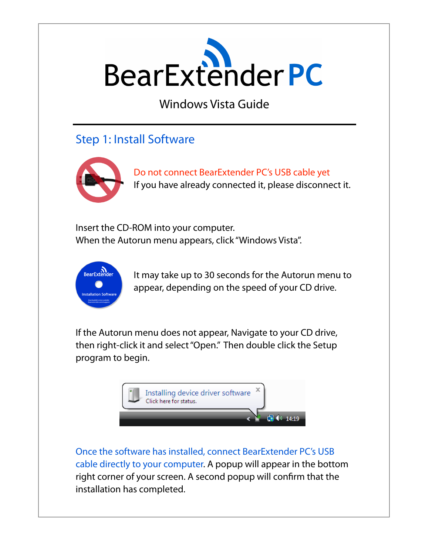

Windows Vista Guide

## Step 1: Install Software



Do not connect BearExtender PC's USB cable yet If you have already connected it, please disconnect it.

Insert the CD-ROM into your computer. When the Autorun menu appears, click "Windows Vista".



It may take up to 30 seconds for the Autorun menu to appear, depending on the speed of your CD drive.

If the Autorun menu does not appear, Navigate to your CD drive, then right-click it and select "Open." Then double click the Setup program to begin.



Once the software has installed, connect BearExtender PC's USB cable directly to your computer. A popup will appear in the bottom right corner of your screen. A second popup will confirm that the installation has completed.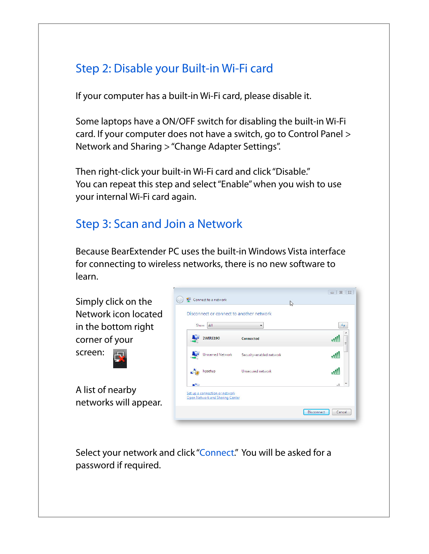# Step 2: Disable your Built-in Wi-Fi card

If your computer has a built-in Wi-Fi card, please disable it.

Some laptops have a ON/OFF switch for disabling the built-in Wi-Fi card. If your computer does not have a switch, go to Control Panel > Network and Sharing > "Change Adapter Settings".

Then right-click your built-in Wi-Fi card and click "Disable." You can repeat this step and select "Enable" when you wish to use your internal Wi-Fi card again.

## Step 3: Scan and Join a Network

Because BearExtender PC uses the built-in Windows Vista interface for connecting to wireless networks, there is no new software to learn.

Simply click on the Network icon located in the bottom right corner of your

screen:

A list of nearby networks will appear.



Select your network and click "Connect." You will be asked for a password if required.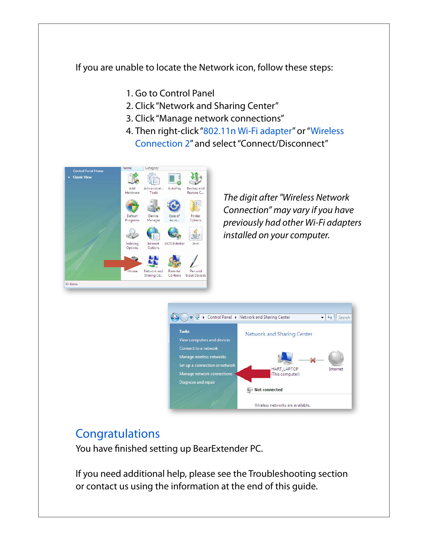If you are unable to locate the Network icon, follow these steps:

- 1. Go to Control Panel
- 2. Click "Network and Sharing Center"
- 3. Click "Manage network connections"
- 4. Then right-click "802.11n Wi-Fi adapter" or "Wireless Connection 2" and select "Connect/Disconnect"



*The digit after "Wireless Network Connection" may vary if you have previously had other Wi-Fi adapters installed on your computer.*



#### **Congratulations**

You have finished setting up BearExtender PC.

If you need additional help, please see the Troubleshooting section or contact us using the information at the end of this guide.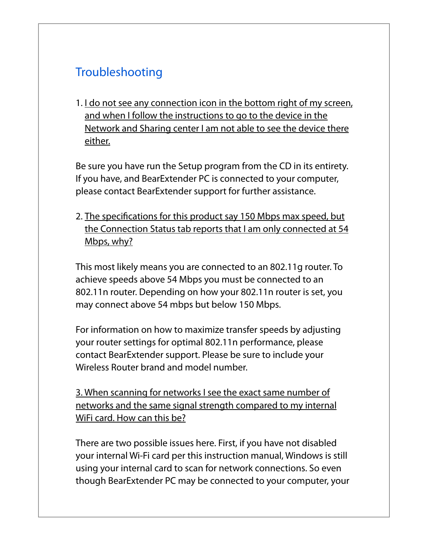# **Troubleshooting**

1. I do not see any connection icon in the bottom right of my screen, and when I follow the instructions to go to the device in the Network and Sharing center I am not able to see the device there either.

Be sure you have run the Setup program from the CD in its entirety. If you have, and BearExtender PC is connected to your computer, please contact BearExtender support for further assistance.

2. The specifications for this product say 150 Mbps max speed, but the Connection Status tab reports that I am only connected at 54 Mbps, why?

This most likely means you are connected to an 802.11g router. To achieve speeds above 54 Mbps you must be connected to an 802.11n router. Depending on how your 802.11n router is set, you may connect above 54 mbps but below 150 Mbps.

For information on how to maximize transfer speeds by adjusting your router settings for optimal 802.11n performance, please contact BearExtender support. Please be sure to include your Wireless Router brand and model number.

3. When scanning for networks I see the exact same number of networks and the same signal strength compared to my internal WiFi card. How can this be?

There are two possible issues here. First, if you have not disabled your internal Wi-Fi card per this instruction manual, Windows is still using your internal card to scan for network connections. So even though BearExtender PC may be connected to your computer, your